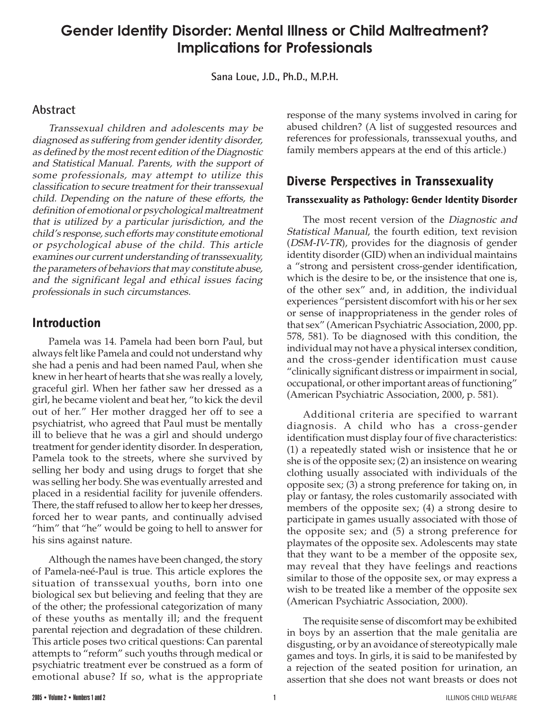# **Gender Identity Disorder: Mental Illness or Child Maltreatment? Implications for Professionals**

**Sana Loue, J.D., Ph.D., M.P.H.**

# **Abstract**

Transsexual children and adolescents may be diagnosed as suffering from gender identity disorder, as defined by the most recent edition of the Diagnostic and Statistical Manual. Parents, with the support of some professionals, may attempt to utilize this classification to secure treatment for their transsexual child. Depending on the nature of these efforts, the definition of emotional or psychological maltreatment that is utilized by a particular jurisdiction, and the child's response, such efforts may constitute emotional or psychological abuse of the child. This article examines our current understanding of transsexuality, the parameters of behaviors that may constitute abuse, and the significant legal and ethical issues facing professionals in such circumstances.

# **Introduction**

Pamela was 14. Pamela had been born Paul, but always felt like Pamela and could not understand why she had a penis and had been named Paul, when she knew in her heart of hearts that she was really a lovely, graceful girl. When her father saw her dressed as a girl, he became violent and beat her, "to kick the devil out of her." Her mother dragged her off to see a psychiatrist, who agreed that Paul must be mentally ill to believe that he was a girl and should undergo treatment for gender identity disorder. In desperation, Pamela took to the streets, where she survived by selling her body and using drugs to forget that she was selling her body. She was eventually arrested and placed in a residential facility for juvenile offenders. There, the staff refused to allow her to keep her dresses, forced her to wear pants, and continually advised "him" that "he" would be going to hell to answer for his sins against nature.

Although the names have been changed, the story of Pamela-neé-Paul is true. This article explores the situation of transsexual youths, born into one biological sex but believing and feeling that they are of the other; the professional categorization of many of these youths as mentally ill; and the frequent parental rejection and degradation of these children. This article poses two critical questions: Can parental attempts to "reform" such youths through medical or psychiatric treatment ever be construed as a form of emotional abuse? If so, what is the appropriate

response of the many systems involved in caring for abused children? (A list of suggested resources and references for professionals, transsexual youths, and family members appears at the end of this article.)

# **Diverse Perspectives in Transsexuality**

### **Transsexuality as Pathology: Gender Identity Disorder**

The most recent version of the Diagnostic and Statistical Manual, the fourth edition, text revision (DSM-IV-TR), provides for the diagnosis of gender identity disorder (GID) when an individual maintains a "strong and persistent cross-gender identification, which is the desire to be, or the insistence that one is, of the other sex" and, in addition, the individual experiences "persistent discomfort with his or her sex or sense of inappropriateness in the gender roles of that sex" (American Psychiatric Association, 2000, pp. 578, 581). To be diagnosed with this condition, the individual may not have a physical intersex condition, and the cross-gender identification must cause "clinically significant distress or impairment in social, occupational, or other important areas of functioning" (American Psychiatric Association, 2000, p. 581).

Additional criteria are specified to warrant diagnosis. A child who has a cross-gender identification must display four of five characteristics: (1) a repeatedly stated wish or insistence that he or she is of the opposite sex; (2) an insistence on wearing clothing usually associated with individuals of the opposite sex; (3) a strong preference for taking on, in play or fantasy, the roles customarily associated with members of the opposite sex; (4) a strong desire to participate in games usually associated with those of the opposite sex; and (5) a strong preference for playmates of the opposite sex. Adolescents may state that they want to be a member of the opposite sex, may reveal that they have feelings and reactions similar to those of the opposite sex, or may express a wish to be treated like a member of the opposite sex (American Psychiatric Association, 2000).

The requisite sense of discomfort may be exhibited in boys by an assertion that the male genitalia are disgusting, or by an avoidance of stereotypically male games and toys. In girls, it is said to be manifested by a rejection of the seated position for urination, an assertion that she does not want breasts or does not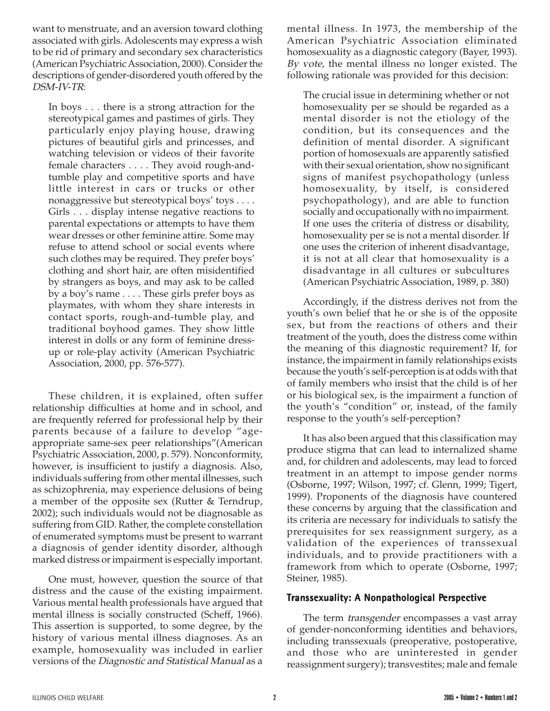want to menstruate, and an aversion toward clothing associated with girls. Adolescents may express a wish to be rid of primary and secondary sex characteristics (American Psychiatric Association, 2000). Consider the descriptions of gender-disordered youth offered by the DSM-IV-TR:

In boys . . . there is a strong attraction for the stereotypical games and pastimes of girls. They particularly enjoy playing house, drawing pictures of beautiful girls and princesses, and watching television or videos of their favorite female characters . . . . They avoid rough-andtumble play and competitive sports and have little interest in cars or trucks or other nonaggressive but stereotypical boys' toys . . . . Girls . . . display intense negative reactions to parental expectations or attempts to have them wear dresses or other feminine attire. Some may refuse to attend school or social events where such clothes may be required. They prefer boys' clothing and short hair, are often misidentified by strangers as boys, and may ask to be called by a boy's name . . . . These girls prefer boys as playmates, with whom they share interests in contact sports, rough-and-tumble play, and traditional boyhood games. They show little interest in dolls or any form of feminine dressup or role-play activity (American Psychiatric Association, 2000, pp. 576-577).

These children, it is explained, often suffer relationship difficulties at home and in school, and are frequently referred for professional help by their parents because of a failure to develop "ageappropriate same-sex peer relationships"(American Psychiatric Association, 2000, p. 579). Nonconformity, however, is insufficient to justify a diagnosis. Also, individuals suffering from other mental illnesses, such as schizophrenia, may experience delusions of being a member of the opposite sex (Rutter & Terndrup, 2002); such individuals would not be diagnosable as suffering from GID. Rather, the complete constellation of enumerated symptoms must be present to warrant a diagnosis of gender identity disorder, although marked distress or impairment is especially important.

One must, however, question the source of that distress and the cause of the existing impairment. Various mental health professionals have argued that mental illness is socially constructed (Scheff, 1966). This assertion is supported, to some degree, by the history of various mental illness diagnoses. As an example, homosexuality was included in earlier versions of the Diagnostic and Statistical Manual as a

mental illness. In 1973, the membership of the American Psychiatric Association eliminated homosexuality as a diagnostic category (Bayer, 1993). By vote, the mental illness no longer existed. The following rationale was provided for this decision:

The crucial issue in determining whether or not homosexuality per se should be regarded as a mental disorder is not the etiology of the condition, but its consequences and the definition of mental disorder. A significant portion of homosexuals are apparently satisfied with their sexual orientation, show no significant signs of manifest psychopathology (unless homosexuality, by itself, is considered psychopathology), and are able to function socially and occupationally with no impairment. If one uses the criteria of distress or disability, homosexuality per se is not a mental disorder. If one uses the criterion of inherent disadvantage, it is not at all clear that homosexuality is a disadvantage in all cultures or subcultures (American Psychiatric Association, 1989, p. 380)

Accordingly, if the distress derives not from the youth's own belief that he or she is of the opposite sex, but from the reactions of others and their treatment of the youth, does the distress come within the meaning of this diagnostic requirement? If, for instance, the impairment in family relationships exists because the youth's self-perception is at odds with that of family members who insist that the child is of her or his biological sex, is the impairment a function of the youth's "condition" or, instead, of the family response to the youth's self-perception?

It has also been argued that this classification may produce stigma that can lead to internalized shame and, for children and adolescents, may lead to forced treatment in an attempt to impose gender norms (Osborne, 1997; Wilson, 1997; cf. Glenn, 1999; Tigert, 1999). Proponents of the diagnosis have countered these concerns by arguing that the classification and its criteria are necessary for individuals to satisfy the prerequisites for sex reassignment surgery, as a validation of the experiences of transsexual individuals, and to provide practitioners with a framework from which to operate (Osborne, 1997; Steiner, 1985).

#### **Transsexuality: A Nonpathological Perspective**

The term *transgender* encompasses a vast array of gender-nonconforming identities and behaviors, including transsexuals (preoperative, postoperative, and those who are uninterested in gender reassignment surgery); transvestites; male and female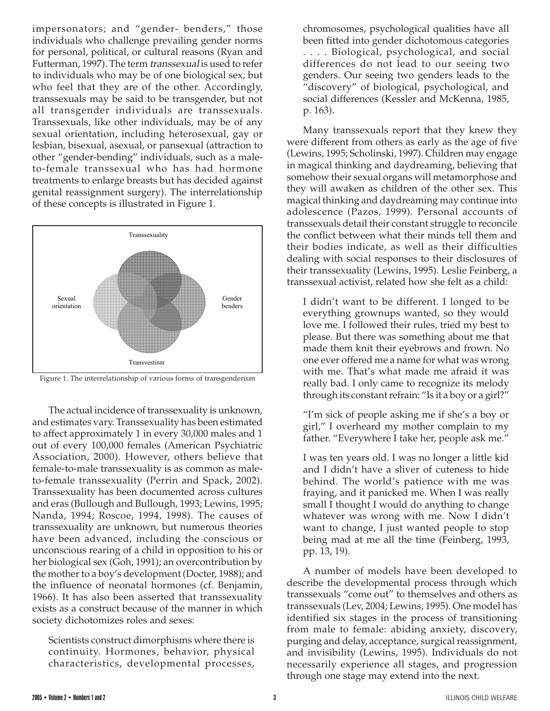impersonators; and "gender- benders," those individuals who challenge prevailing gender norms for personal, political, or cultural reasons (Ryan and Futterman, 1997). The term transsexual is used to refer to individuals who may be of one biological sex, but who feel that they are of the other. Accordingly, transsexuals may be said to be transgender, but not all transgender individuals are transsexuals. Transsexuals, like other individuals, may be of any sexual orientation, including heterosexual, gay or lesbian, bisexual, asexual, or pansexual (attraction to other "gender-bending" individuals, such as a maleto-female transsexual who has had hormone treatments to enlarge breasts but has decided against genital reassignment surgery). The interrelationship of these concepts is illustrated in Figure 1.



Figure 1. The interrelationship of various forms of transgenderism

The actual incidence of transsexuality is unknown, and estimates vary. Transsexuality has been estimated to affect approximately 1 in every 30,000 males and 1 out of every 100,000 females (American Psychiatric Association, 2000). However, others believe that female-to-male transsexuality is as common as maleto-female transsexuality (Perrin and Spack, 2002). Transsexuality has been documented across cultures and eras (Bullough and Bullough, 1993; Lewins, 1995; Nanda, 1994; Roscoe, 1994, 1998). The causes of transsexuality are unknown, but numerous theories have been advanced, including the conscious or unconscious rearing of a child in opposition to his or her biological sex (Goh, 1991); an overcontribution by the mother to a boy's development (Docter, 1988); and the influence of neonatal hormones (cf. Benjamin, 1966). It has also been asserted that transsexuality exists as a construct because of the manner in which society dichotomizes roles and sexes:

Scientists construct dimorphisms where there is continuity. Hormones, behavior, physical characteristics, developmental processes,

chromosomes, psychological qualities have all been fitted into gender dichotomous categories . . . . Biological, psychological, and social differences do not lead to our seeing two genders. Our seeing two genders leads to the "discovery" of biological, psychological, and social differences (Kessler and McKenna, 1985, p. 163).

Many transsexuals report that they knew they were different from others as early as the age of five (Lewins, 1995; Scholinski, 1997). Children may engage in magical thinking and daydreaming, believing that somehow their sexual organs will metamorphose and they will awaken as children of the other sex. This magical thinking and daydreaming may continue into adolescence (Pazos, 1999). Personal accounts of transsexuals detail their constant struggle to reconcile the conflict between what their minds tell them and their bodies indicate, as well as their difficulties dealing with social responses to their disclosures of their transsexuality (Lewins, 1995). Leslie Feinberg, a transsexual activist, related how she felt as a child:

I didn't want to be different. I longed to be everything grownups wanted, so they would love me. I followed their rules, tried my best to please. But there was something about me that made them knit their eyebrows and frown. No one ever offered me a name for what was wrong with me. That's what made me afraid it was really bad. I only came to recognize its melody through its constant refrain: "Is it a boy or a girl?"

"I'm sick of people asking me if she's a boy or girl," I overheard my mother complain to my father. "Everywhere I take her, people ask me."

I was ten years old. I was no longer a little kid and I didn't have a sliver of cuteness to hide behind. The world's patience with me was fraying, and it panicked me. When I was really small I thought I would do anything to change whatever was wrong with me. Now I didn't want to change, I just wanted people to stop being mad at me all the time (Feinberg, 1993, pp. 13, 19).

A number of models have been developed to describe the developmental process through which transsexuals "come out" to themselves and others as transsexuals (Lev, 2004; Lewins, 1995). One model has identified six stages in the process of transitioning from male to female: abiding anxiety, discovery, purging and delay, acceptance, surgical reassignment, and invisibility (Lewins, 1995). Individuals do not necessarily experience all stages, and progression through one stage may extend into the next.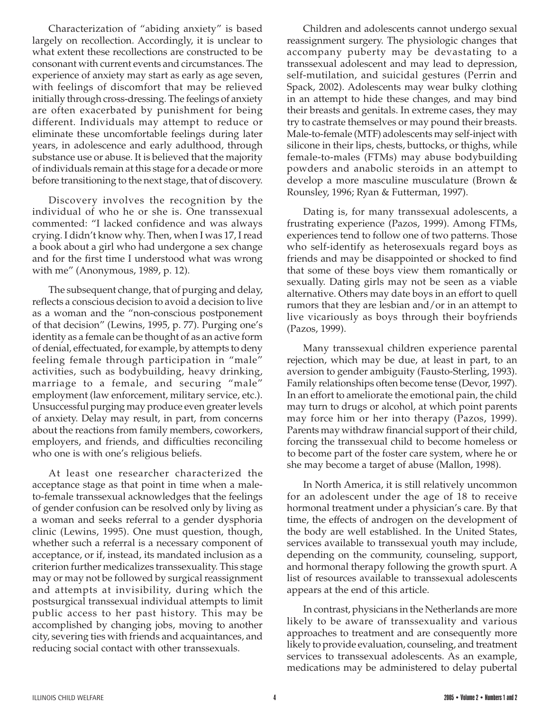Characterization of "abiding anxiety" is based largely on recollection. Accordingly, it is unclear to what extent these recollections are constructed to be consonant with current events and circumstances. The experience of anxiety may start as early as age seven, with feelings of discomfort that may be relieved initially through cross-dressing. The feelings of anxiety are often exacerbated by punishment for being different. Individuals may attempt to reduce or eliminate these uncomfortable feelings during later years, in adolescence and early adulthood, through substance use or abuse. It is believed that the majority of individuals remain at this stage for a decade or more before transitioning to the next stage, that of discovery.

Discovery involves the recognition by the individual of who he or she is. One transsexual commented: "I lacked confidence and was always crying. I didn't know why. Then, when I was 17, I read a book about a girl who had undergone a sex change and for the first time I understood what was wrong with me" (Anonymous, 1989, p. 12).

The subsequent change, that of purging and delay, reflects a conscious decision to avoid a decision to live as a woman and the "non-conscious postponement of that decision" (Lewins, 1995, p. 77). Purging one's identity as a female can be thought of as an active form of denial, effectuated, for example, by attempts to deny feeling female through participation in "male" activities, such as bodybuilding, heavy drinking, marriage to a female, and securing "male" employment (law enforcement, military service, etc.). Unsuccessful purging may produce even greater levels of anxiety. Delay may result, in part, from concerns about the reactions from family members, coworkers, employers, and friends, and difficulties reconciling who one is with one's religious beliefs.

At least one researcher characterized the acceptance stage as that point in time when a maleto-female transsexual acknowledges that the feelings of gender confusion can be resolved only by living as a woman and seeks referral to a gender dysphoria clinic (Lewins, 1995). One must question, though, whether such a referral is a necessary component of acceptance, or if, instead, its mandated inclusion as a criterion further medicalizes transsexuality. This stage may or may not be followed by surgical reassignment and attempts at invisibility, during which the postsurgical transsexual individual attempts to limit public access to her past history. This may be accomplished by changing jobs, moving to another city, severing ties with friends and acquaintances, and reducing social contact with other transsexuals.

Children and adolescents cannot undergo sexual reassignment surgery. The physiologic changes that accompany puberty may be devastating to a transsexual adolescent and may lead to depression, self-mutilation, and suicidal gestures (Perrin and Spack, 2002). Adolescents may wear bulky clothing in an attempt to hide these changes, and may bind their breasts and genitals. In extreme cases, they may try to castrate themselves or may pound their breasts. Male-to-female (MTF) adolescents may self-inject with silicone in their lips, chests, buttocks, or thighs, while female-to-males (FTMs) may abuse bodybuilding powders and anabolic steroids in an attempt to develop a more masculine musculature (Brown & Rounsley, 1996; Ryan & Futterman, 1997).

Dating is, for many transsexual adolescents, a frustrating experience (Pazos, 1999). Among FTMs, experiences tend to follow one of two patterns. Those who self-identify as heterosexuals regard boys as friends and may be disappointed or shocked to find that some of these boys view them romantically or sexually. Dating girls may not be seen as a viable alternative. Others may date boys in an effort to quell rumors that they are lesbian and/or in an attempt to live vicariously as boys through their boyfriends (Pazos, 1999).

Many transsexual children experience parental rejection, which may be due, at least in part, to an aversion to gender ambiguity (Fausto-Sterling, 1993). Family relationships often become tense (Devor, 1997). In an effort to ameliorate the emotional pain, the child may turn to drugs or alcohol, at which point parents may force him or her into therapy (Pazos, 1999). Parents may withdraw financial support of their child, forcing the transsexual child to become homeless or to become part of the foster care system, where he or she may become a target of abuse (Mallon, 1998).

In North America, it is still relatively uncommon for an adolescent under the age of 18 to receive hormonal treatment under a physician's care. By that time, the effects of androgen on the development of the body are well established. In the United States, services available to transsexual youth may include, depending on the community, counseling, support, and hormonal therapy following the growth spurt. A list of resources available to transsexual adolescents appears at the end of this article.

In contrast, physicians in the Netherlands are more likely to be aware of transsexuality and various approaches to treatment and are consequently more likely to provide evaluation, counseling, and treatment services to transsexual adolescents. As an example, medications may be administered to delay pubertal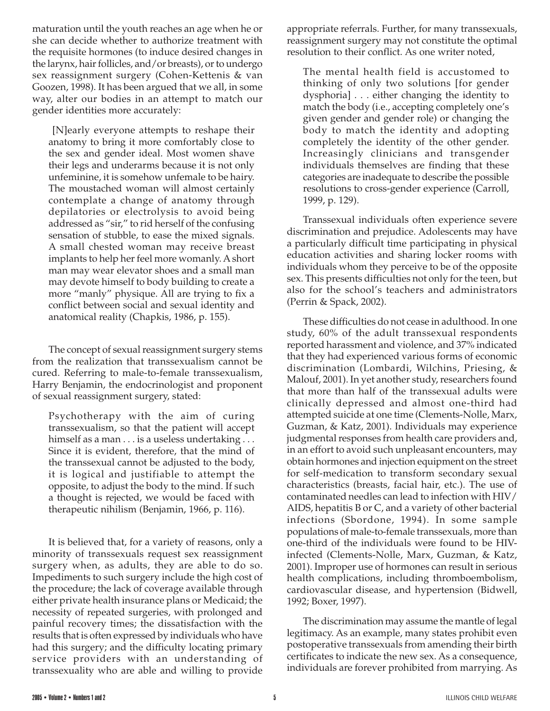maturation until the youth reaches an age when he or she can decide whether to authorize treatment with the requisite hormones (to induce desired changes in the larynx, hair follicles, and/or breasts), or to undergo sex reassignment surgery (Cohen-Kettenis & van Goozen, 1998). It has been argued that we all, in some way, alter our bodies in an attempt to match our gender identities more accurately:

 [N]early everyone attempts to reshape their anatomy to bring it more comfortably close to the sex and gender ideal. Most women shave their legs and underarms because it is not only unfeminine, it is somehow unfemale to be hairy. The moustached woman will almost certainly contemplate a change of anatomy through depilatories or electrolysis to avoid being addressed as "sir," to rid herself of the confusing sensation of stubble, to ease the mixed signals. A small chested woman may receive breast implants to help her feel more womanly. A short man may wear elevator shoes and a small man may devote himself to body building to create a more "manly" physique. All are trying to fix a conflict between social and sexual identity and anatomical reality (Chapkis, 1986, p. 155).

The concept of sexual reassignment surgery stems from the realization that transsexualism cannot be cured. Referring to male-to-female transsexualism, Harry Benjamin, the endocrinologist and proponent of sexual reassignment surgery, stated:

Psychotherapy with the aim of curing transsexualism, so that the patient will accept himself as a man . . . is a useless undertaking . . . Since it is evident, therefore, that the mind of the transsexual cannot be adjusted to the body, it is logical and justifiable to attempt the opposite, to adjust the body to the mind. If such a thought is rejected, we would be faced with therapeutic nihilism (Benjamin, 1966, p. 116).

It is believed that, for a variety of reasons, only a minority of transsexuals request sex reassignment surgery when, as adults, they are able to do so. Impediments to such surgery include the high cost of the procedure; the lack of coverage available through either private health insurance plans or Medicaid; the necessity of repeated surgeries, with prolonged and painful recovery times; the dissatisfaction with the results that is often expressed by individuals who have had this surgery; and the difficulty locating primary service providers with an understanding of transsexuality who are able and willing to provide

appropriate referrals. Further, for many transsexuals, reassignment surgery may not constitute the optimal resolution to their conflict. As one writer noted,

The mental health field is accustomed to thinking of only two solutions [for gender dysphoria] . . . either changing the identity to match the body (i.e., accepting completely one's given gender and gender role) or changing the body to match the identity and adopting completely the identity of the other gender. Increasingly clinicians and transgender individuals themselves are finding that these categories are inadequate to describe the possible resolutions to cross-gender experience (Carroll, 1999, p. 129).

Transsexual individuals often experience severe discrimination and prejudice. Adolescents may have a particularly difficult time participating in physical education activities and sharing locker rooms with individuals whom they perceive to be of the opposite sex. This presents difficulties not only for the teen, but also for the school's teachers and administrators (Perrin & Spack, 2002).

These difficulties do not cease in adulthood. In one study, 60% of the adult transsexual respondents reported harassment and violence, and 37% indicated that they had experienced various forms of economic discrimination (Lombardi, Wilchins, Priesing, & Malouf, 2001). In yet another study, researchers found that more than half of the transsexual adults were clinically depressed and almost one-third had attempted suicide at one time (Clements-Nolle, Marx, Guzman, & Katz, 2001). Individuals may experience judgmental responses from health care providers and, in an effort to avoid such unpleasant encounters, may obtain hormones and injection equipment on the street for self-medication to transform secondary sexual characteristics (breasts, facial hair, etc.). The use of contaminated needles can lead to infection with HIV/ AIDS, hepatitis B or C, and a variety of other bacterial infections (Sbordone, 1994). In some sample populations of male-to-female transsexuals, more than one-third of the individuals were found to be HIVinfected (Clements-Nolle, Marx, Guzman, & Katz, 2001). Improper use of hormones can result in serious health complications, including thromboembolism, cardiovascular disease, and hypertension (Bidwell, 1992; Boxer, 1997).

The discrimination may assume the mantle of legal legitimacy. As an example, many states prohibit even postoperative transsexuals from amending their birth certificates to indicate the new sex. As a consequence, individuals are forever prohibited from marrying. As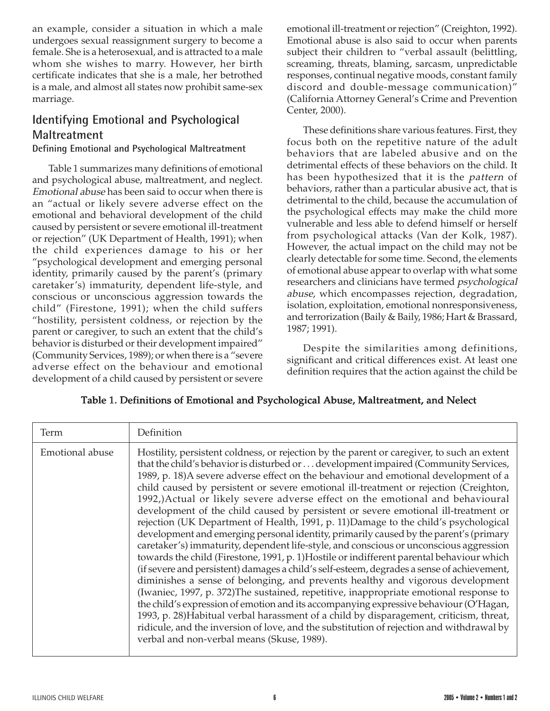an example, consider a situation in which a male undergoes sexual reassignment surgery to become a female. She is a heterosexual, and is attracted to a male whom she wishes to marry. However, her birth certificate indicates that she is a male, her betrothed is a male, and almost all states now prohibit same-sex marriage.

# **Identifying Emotional and Psychological Maltreatment**

### **Defining Emotional and Psychological Maltreatment**

Table 1 summarizes many definitions of emotional and psychological abuse, maltreatment, and neglect. Emotional abuse has been said to occur when there is an "actual or likely severe adverse effect on the emotional and behavioral development of the child caused by persistent or severe emotional ill-treatment or rejection" (UK Department of Health, 1991); when the child experiences damage to his or her "psychological development and emerging personal identity, primarily caused by the parent's (primary caretaker's) immaturity, dependent life-style, and conscious or unconscious aggression towards the child" (Firestone, 1991); when the child suffers "hostility, persistent coldness, or rejection by the parent or caregiver, to such an extent that the child's behavior is disturbed or their development impaired" (Community Services, 1989); or when there is a "severe adverse effect on the behaviour and emotional development of a child caused by persistent or severe emotional ill-treatment or rejection" (Creighton, 1992). Emotional abuse is also said to occur when parents subject their children to "verbal assault (belittling, screaming, threats, blaming, sarcasm, unpredictable responses, continual negative moods, constant family discord and double-message communication)" (California Attorney General's Crime and Prevention Center, 2000).

These definitions share various features. First, they focus both on the repetitive nature of the adult behaviors that are labeled abusive and on the detrimental effects of these behaviors on the child. It has been hypothesized that it is the pattern of behaviors, rather than a particular abusive act, that is detrimental to the child, because the accumulation of the psychological effects may make the child more vulnerable and less able to defend himself or herself from psychological attacks (Van der Kolk, 1987). However, the actual impact on the child may not be clearly detectable for some time. Second, the elements of emotional abuse appear to overlap with what some researchers and clinicians have termed *psychological* abuse, which encompasses rejection, degradation, isolation, exploitation, emotional nonresponsiveness, and terrorization (Baily & Baily, 1986; Hart & Brassard, 1987; 1991).

Despite the similarities among definitions, significant and critical differences exist. At least one definition requires that the action against the child be

| Term            | Definition                                                                                                                                                                                                                                                                                                                                                                                                                                                                                                                                                                                                                                                                                                                                                                                                                                                                                                                                                                                                                                                                                                                                                                                                                                                                                                                                                                                                                                                                                                            |  |
|-----------------|-----------------------------------------------------------------------------------------------------------------------------------------------------------------------------------------------------------------------------------------------------------------------------------------------------------------------------------------------------------------------------------------------------------------------------------------------------------------------------------------------------------------------------------------------------------------------------------------------------------------------------------------------------------------------------------------------------------------------------------------------------------------------------------------------------------------------------------------------------------------------------------------------------------------------------------------------------------------------------------------------------------------------------------------------------------------------------------------------------------------------------------------------------------------------------------------------------------------------------------------------------------------------------------------------------------------------------------------------------------------------------------------------------------------------------------------------------------------------------------------------------------------------|--|
| Emotional abuse | Hostility, persistent coldness, or rejection by the parent or caregiver, to such an extent<br>that the child's behavior is disturbed or  development impaired (Community Services,<br>1989, p. 18)A severe adverse effect on the behaviour and emotional development of a<br>child caused by persistent or severe emotional ill-treatment or rejection (Creighton,<br>1992,)Actual or likely severe adverse effect on the emotional and behavioural<br>development of the child caused by persistent or severe emotional ill-treatment or<br>rejection (UK Department of Health, 1991, p. 11)Damage to the child's psychological<br>development and emerging personal identity, primarily caused by the parent's (primary<br>caretaker's) immaturity, dependent life-style, and conscious or unconscious aggression<br>towards the child (Firestone, 1991, p. 1)Hostile or indifferent parental behaviour which<br>(if severe and persistent) damages a child's self-esteem, degrades a sense of achievement,<br>diminishes a sense of belonging, and prevents healthy and vigorous development<br>(Iwaniec, 1997, p. 372)The sustained, repetitive, inappropriate emotional response to<br>the child's expression of emotion and its accompanying expressive behaviour (O'Hagan,<br>1993, p. 28)Habitual verbal harassment of a child by disparagement, criticism, threat,<br>ridicule, and the inversion of love, and the substitution of rejection and withdrawal by<br>verbal and non-verbal means (Skuse, 1989). |  |

## Table 1. Definitions of Emotional and Psychological Abuse, Maltreatment, and Nelect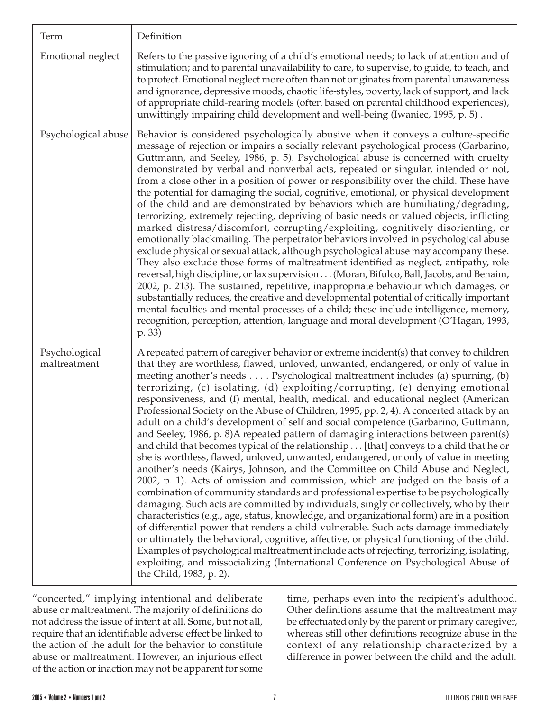| Term                          | Definition                                                                                                                                                                                                                                                                                                                                                                                                                                                                                                                                                                                                                                                                                                                                                                                                                                                                                                                                                                                                                                                                                                                                                                                                                                                                                                                                                                                                                                                                                                                                                                                                                                                                                                                                                 |  |  |
|-------------------------------|------------------------------------------------------------------------------------------------------------------------------------------------------------------------------------------------------------------------------------------------------------------------------------------------------------------------------------------------------------------------------------------------------------------------------------------------------------------------------------------------------------------------------------------------------------------------------------------------------------------------------------------------------------------------------------------------------------------------------------------------------------------------------------------------------------------------------------------------------------------------------------------------------------------------------------------------------------------------------------------------------------------------------------------------------------------------------------------------------------------------------------------------------------------------------------------------------------------------------------------------------------------------------------------------------------------------------------------------------------------------------------------------------------------------------------------------------------------------------------------------------------------------------------------------------------------------------------------------------------------------------------------------------------------------------------------------------------------------------------------------------------|--|--|
| Emotional neglect             | Refers to the passive ignoring of a child's emotional needs; to lack of attention and of<br>stimulation; and to parental unavailability to care, to supervise, to guide, to teach, and<br>to protect. Emotional neglect more often than not originates from parental unawareness<br>and ignorance, depressive moods, chaotic life-styles, poverty, lack of support, and lack<br>of appropriate child-rearing models (often based on parental childhood experiences),<br>unwittingly impairing child development and well-being (Iwaniec, 1995, p. 5).                                                                                                                                                                                                                                                                                                                                                                                                                                                                                                                                                                                                                                                                                                                                                                                                                                                                                                                                                                                                                                                                                                                                                                                                      |  |  |
| Psychological abuse           | Behavior is considered psychologically abusive when it conveys a culture-specific<br>message of rejection or impairs a socially relevant psychological process (Garbarino,<br>Guttmann, and Seeley, 1986, p. 5). Psychological abuse is concerned with cruelty<br>demonstrated by verbal and nonverbal acts, repeated or singular, intended or not,<br>from a close other in a position of power or responsibility over the child. These have<br>the potential for damaging the social, cognitive, emotional, or physical development<br>of the child and are demonstrated by behaviors which are humiliating/degrading,<br>terrorizing, extremely rejecting, depriving of basic needs or valued objects, inflicting<br>marked distress/discomfort, corrupting/exploiting, cognitively disorienting, or<br>emotionally blackmailing. The perpetrator behaviors involved in psychological abuse<br>exclude physical or sexual attack, although psychological abuse may accompany these.<br>They also exclude those forms of maltreatment identified as neglect, antipathy, role<br>reversal, high discipline, or lax supervision (Moran, Bifulco, Ball, Jacobs, and Benaim,<br>2002, p. 213). The sustained, repetitive, inappropriate behaviour which damages, or<br>substantially reduces, the creative and developmental potential of critically important<br>mental faculties and mental processes of a child; these include intelligence, memory,<br>recognition, perception, attention, language and moral development (O'Hagan, 1993,<br>p. 33)                                                                                                                                                                                                      |  |  |
| Psychological<br>maltreatment | A repeated pattern of caregiver behavior or extreme incident(s) that convey to children<br>that they are worthless, flawed, unloved, unwanted, endangered, or only of value in<br>meeting another's needs Psychological maltreatment includes (a) spurning, (b)<br>terrorizing, (c) isolating, (d) exploiting/corrupting, (e) denying emotional<br>responsiveness, and (f) mental, health, medical, and educational neglect (American<br>Professional Society on the Abuse of Children, 1995, pp. 2, 4). A concerted attack by an<br>adult on a child's development of self and social competence (Garbarino, Guttmann,<br>and Seeley, 1986, p. 8) A repeated pattern of damaging interactions between parent(s)<br>and child that becomes typical of the relationship [that] conveys to a child that he or<br>she is worthless, flawed, unloved, unwanted, endangered, or only of value in meeting<br>another's needs (Kairys, Johnson, and the Committee on Child Abuse and Neglect,<br>2002, p. 1). Acts of omission and commission, which are judged on the basis of a<br>combination of community standards and professional expertise to be psychologically<br>damaging. Such acts are committed by individuals, singly or collectively, who by their<br>characteristics (e.g., age, status, knowledge, and organizational form) are in a position<br>of differential power that renders a child vulnerable. Such acts damage immediately<br>or ultimately the behavioral, cognitive, affective, or physical functioning of the child.<br>Examples of psychological maltreatment include acts of rejecting, terrorizing, isolating,<br>exploiting, and missocializing (International Conference on Psychological Abuse of<br>the Child, 1983, p. 2). |  |  |

"concerted," implying intentional and deliberate abuse or maltreatment. The majority of definitions do not address the issue of intent at all. Some, but not all, require that an identifiable adverse effect be linked to the action of the adult for the behavior to constitute abuse or maltreatment. However, an injurious effect of the action or inaction may not be apparent for some time, perhaps even into the recipient's adulthood. Other definitions assume that the maltreatment may be effectuated only by the parent or primary caregiver, whereas still other definitions recognize abuse in the context of any relationship characterized by a difference in power between the child and the adult.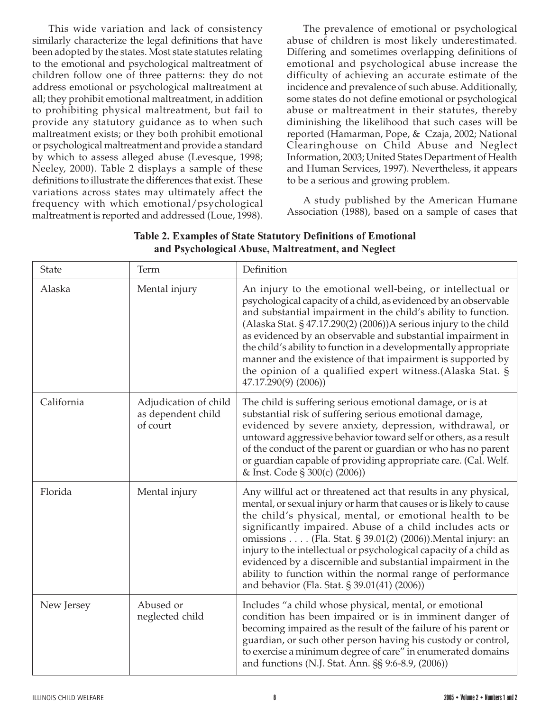This wide variation and lack of consistency similarly characterize the legal definitions that have been adopted by the states. Most state statutes relating to the emotional and psychological maltreatment of children follow one of three patterns: they do not address emotional or psychological maltreatment at all; they prohibit emotional maltreatment, in addition to prohibiting physical maltreatment, but fail to provide any statutory guidance as to when such maltreatment exists; or they both prohibit emotional or psychological maltreatment and provide a standard by which to assess alleged abuse (Levesque, 1998; Neeley, 2000). Table 2 displays a sample of these definitions to illustrate the differences that exist. These variations across states may ultimately affect the frequency with which emotional/psychological maltreatment is reported and addressed (Loue, 1998).

The prevalence of emotional or psychological abuse of children is most likely underestimated. Differing and sometimes overlapping definitions of emotional and psychological abuse increase the difficulty of achieving an accurate estimate of the incidence and prevalence of such abuse. Additionally, some states do not define emotional or psychological abuse or maltreatment in their statutes, thereby diminishing the likelihood that such cases will be reported (Hamarman, Pope, & Czaja, 2002; National Clearinghouse on Child Abuse and Neglect Information, 2003; United States Department of Health and Human Services, 1997). Nevertheless, it appears to be a serious and growing problem.

A study published by the American Humane Association (1988), based on a sample of cases that

| <b>State</b> | Term                                                    | Definition                                                                                                                                                                                                                                                                                                                                                                                                                                                                                                                                                                       |
|--------------|---------------------------------------------------------|----------------------------------------------------------------------------------------------------------------------------------------------------------------------------------------------------------------------------------------------------------------------------------------------------------------------------------------------------------------------------------------------------------------------------------------------------------------------------------------------------------------------------------------------------------------------------------|
| Alaska       | Mental injury                                           | An injury to the emotional well-being, or intellectual or<br>psychological capacity of a child, as evidenced by an observable<br>and substantial impairment in the child's ability to function.<br>(Alaska Stat. § 47.17.290(2) (2006))A serious injury to the child<br>as evidenced by an observable and substantial impairment in<br>the child's ability to function in a developmentally appropriate<br>manner and the existence of that impairment is supported by<br>the opinion of a qualified expert witness.(Alaska Stat. §<br>$47.17.290(9)$ (2006))                    |
| California   | Adjudication of child<br>as dependent child<br>of court | The child is suffering serious emotional damage, or is at<br>substantial risk of suffering serious emotional damage,<br>evidenced by severe anxiety, depression, withdrawal, or<br>untoward aggressive behavior toward self or others, as a result<br>of the conduct of the parent or guardian or who has no parent<br>or guardian capable of providing appropriate care. (Cal. Welf.<br>& Inst. Code § 300(c) (2006))                                                                                                                                                           |
| Florida      | Mental injury                                           | Any willful act or threatened act that results in any physical,<br>mental, or sexual injury or harm that causes or is likely to cause<br>the child's physical, mental, or emotional health to be<br>significantly impaired. Abuse of a child includes acts or<br>omissions (Fla. Stat. § 39.01(2) (2006)). Mental injury: an<br>injury to the intellectual or psychological capacity of a child as<br>evidenced by a discernible and substantial impairment in the<br>ability to function within the normal range of performance<br>and behavior (Fla. Stat. § 39.01(41) (2006)) |
| New Jersey   | Abused or<br>neglected child                            | Includes "a child whose physical, mental, or emotional<br>condition has been impaired or is in imminent danger of<br>becoming impaired as the result of the failure of his parent or<br>guardian, or such other person having his custody or control,<br>to exercise a minimum degree of care" in enumerated domains<br>and functions (N.J. Stat. Ann. §§ 9:6-8.9, (2006))                                                                                                                                                                                                       |

## **Table 2. Examples of State Statutory Definitions of Emotional and Psychological Abuse, Maltreatment, and Neglect**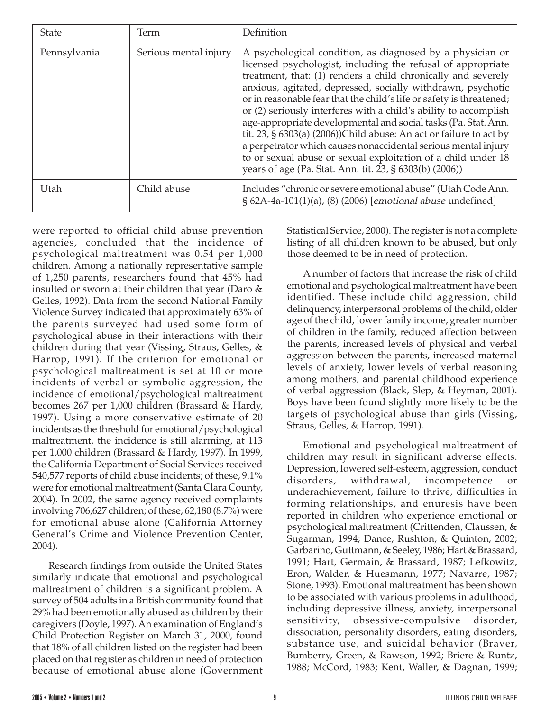| <b>State</b> | Term                  | Definition                                                                                                                                                                                                                                                                                                                                                                                                                                                                                                                                                                                                                                                                                                                                 |
|--------------|-----------------------|--------------------------------------------------------------------------------------------------------------------------------------------------------------------------------------------------------------------------------------------------------------------------------------------------------------------------------------------------------------------------------------------------------------------------------------------------------------------------------------------------------------------------------------------------------------------------------------------------------------------------------------------------------------------------------------------------------------------------------------------|
| Pennsylvania | Serious mental injury | A psychological condition, as diagnosed by a physician or<br>licensed psychologist, including the refusal of appropriate<br>treatment, that: (1) renders a child chronically and severely<br>anxious, agitated, depressed, socially withdrawn, psychotic<br>or in reasonable fear that the child's life or safety is threatened;<br>or (2) seriously interferes with a child's ability to accomplish<br>age-appropriate developmental and social tasks (Pa. Stat. Ann.<br>tit. 23, § 6303(a) (2006))Child abuse: An act or failure to act by<br>a perpetrator which causes nonaccidental serious mental injury<br>to or sexual abuse or sexual exploitation of a child under 18<br>years of age (Pa. Stat. Ann. tit. 23, § 6303(b) (2006)) |
| Utah         | Child abuse           | Includes "chronic or severe emotional abuse" (Utah Code Ann.<br>§ 62A-4a-101(1)(a), (8) (2006) [emotional abuse undefined]                                                                                                                                                                                                                                                                                                                                                                                                                                                                                                                                                                                                                 |

were reported to official child abuse prevention agencies, concluded that the incidence of psychological maltreatment was 0.54 per 1,000 children. Among a nationally representative sample of 1,250 parents, researchers found that 45% had insulted or sworn at their children that year (Daro & Gelles, 1992). Data from the second National Family Violence Survey indicated that approximately 63% of the parents surveyed had used some form of psychological abuse in their interactions with their children during that year (Vissing, Straus, Gelles, & Harrop, 1991). If the criterion for emotional or psychological maltreatment is set at 10 or more incidents of verbal or symbolic aggression, the incidence of emotional/psychological maltreatment becomes 267 per 1,000 children (Brassard & Hardy, 1997). Using a more conservative estimate of 20 incidents as the threshold for emotional/psychological maltreatment, the incidence is still alarming, at 113 per 1,000 children (Brassard & Hardy, 1997). In 1999, the California Department of Social Services received 540,577 reports of child abuse incidents; of these, 9.1% were for emotional maltreatment (Santa Clara County, 2004). In 2002, the same agency received complaints involving 706,627 children; of these, 62,180 (8.7%) were for emotional abuse alone (California Attorney General's Crime and Violence Prevention Center, 2004).

Research findings from outside the United States similarly indicate that emotional and psychological maltreatment of children is a significant problem. A survey of 504 adults in a British community found that 29% had been emotionally abused as children by their caregivers (Doyle, 1997). An examination of England's Child Protection Register on March 31, 2000, found that 18% of all children listed on the register had been placed on that register as children in need of protection because of emotional abuse alone (Government Statistical Service, 2000). The register is not a complete listing of all children known to be abused, but only those deemed to be in need of protection.

A number of factors that increase the risk of child emotional and psychological maltreatment have been identified. These include child aggression, child delinquency, interpersonal problems of the child, older age of the child, lower family income, greater number of children in the family, reduced affection between the parents, increased levels of physical and verbal aggression between the parents, increased maternal levels of anxiety, lower levels of verbal reasoning among mothers, and parental childhood experience of verbal aggression (Black, Slep, & Heyman, 2001). Boys have been found slightly more likely to be the targets of psychological abuse than girls (Vissing, Straus, Gelles, & Harrop, 1991).

Emotional and psychological maltreatment of children may result in significant adverse effects. Depression, lowered self-esteem, aggression, conduct disorders, withdrawal, incompetence underachievement, failure to thrive, difficulties in forming relationships, and enuresis have been reported in children who experience emotional or psychological maltreatment (Crittenden, Claussen, & Sugarman, 1994; Dance, Rushton, & Quinton, 2002; Garbarino, Guttmann, & Seeley, 1986; Hart & Brassard, 1991; Hart, Germain, & Brassard, 1987; Lefkowitz, Eron, Walder, & Huesmann, 1977; Navarre, 1987; Stone, 1993). Emotional maltreatment has been shown to be associated with various problems in adulthood, including depressive illness, anxiety, interpersonal sensitivity, obsessive-compulsive disorder, dissociation, personality disorders, eating disorders, substance use, and suicidal behavior (Braver, Bumberry, Green, & Rawson, 1992; Briere & Runtz, 1988; McCord, 1983; Kent, Waller, & Dagnan, 1999;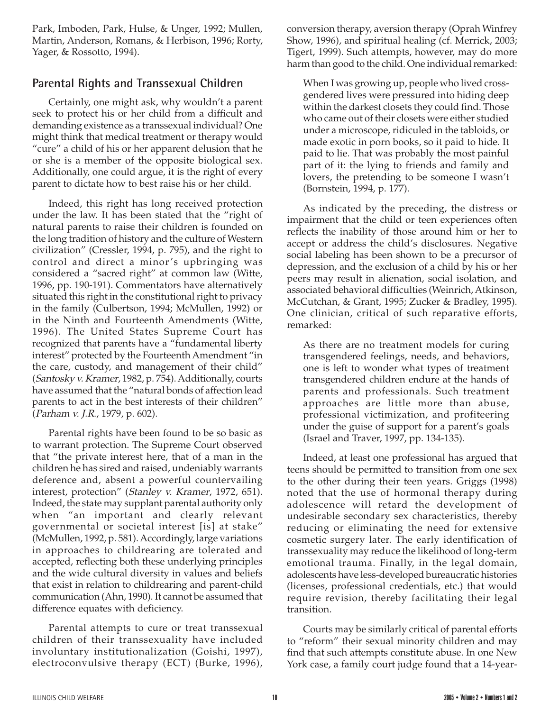Park, Imboden, Park, Hulse, & Unger, 1992; Mullen, Martin, Anderson, Romans, & Herbison, 1996; Rorty, Yager, & Rossotto, 1994).

# **Parental Rights and Transsexual Children**

Certainly, one might ask, why wouldn't a parent seek to protect his or her child from a difficult and demanding existence as a transsexual individual? One might think that medical treatment or therapy would "cure" a child of his or her apparent delusion that he or she is a member of the opposite biological sex. Additionally, one could argue, it is the right of every parent to dictate how to best raise his or her child.

Indeed, this right has long received protection under the law. It has been stated that the "right of natural parents to raise their children is founded on the long tradition of history and the culture of Western civilization" (Cressler, 1994, p. 795), and the right to control and direct a minor's upbringing was considered a "sacred right" at common law (Witte, 1996, pp. 190-191). Commentators have alternatively situated this right in the constitutional right to privacy in the family (Culbertson, 1994; McMullen, 1992) or in the Ninth and Fourteenth Amendments (Witte, 1996). The United States Supreme Court has recognized that parents have a "fundamental liberty interest" protected by the Fourteenth Amendment "in the care, custody, and management of their child" (Santosky v. Kramer, 1982, p. 754). Additionally, courts have assumed that the "natural bonds of affection lead parents to act in the best interests of their children" (Parham v. J.R., 1979, p. 602).

Parental rights have been found to be so basic as to warrant protection. The Supreme Court observed that "the private interest here, that of a man in the children he has sired and raised, undeniably warrants deference and, absent a powerful countervailing interest, protection" (Stanley v. Kramer, 1972, 651). Indeed, the state may supplant parental authority only when "an important and clearly relevant governmental or societal interest [is] at stake" (McMullen, 1992, p. 581). Accordingly, large variations in approaches to childrearing are tolerated and accepted, reflecting both these underlying principles and the wide cultural diversity in values and beliefs that exist in relation to childrearing and parent-child communication (Ahn, 1990). It cannot be assumed that difference equates with deficiency.

Parental attempts to cure or treat transsexual children of their transsexuality have included involuntary institutionalization (Goishi, 1997), electroconvulsive therapy (ECT) (Burke, 1996),

conversion therapy, aversion therapy (Oprah Winfrey Show, 1996), and spiritual healing (cf. Merrick, 2003; Tigert, 1999). Such attempts, however, may do more harm than good to the child. One individual remarked:

When I was growing up, people who lived crossgendered lives were pressured into hiding deep within the darkest closets they could find. Those who came out of their closets were either studied under a microscope, ridiculed in the tabloids, or made exotic in porn books, so it paid to hide. It paid to lie. That was probably the most painful part of it: the lying to friends and family and lovers, the pretending to be someone I wasn't (Bornstein, 1994, p. 177).

As indicated by the preceding, the distress or impairment that the child or teen experiences often reflects the inability of those around him or her to accept or address the child's disclosures. Negative social labeling has been shown to be a precursor of depression, and the exclusion of a child by his or her peers may result in alienation, social isolation, and associated behavioral difficulties (Weinrich, Atkinson, McCutchan, & Grant, 1995; Zucker & Bradley, 1995). One clinician, critical of such reparative efforts, remarked:

As there are no treatment models for curing transgendered feelings, needs, and behaviors, one is left to wonder what types of treatment transgendered children endure at the hands of parents and professionals. Such treatment approaches are little more than abuse, professional victimization, and profiteering under the guise of support for a parent's goals (Israel and Traver, 1997, pp. 134-135).

Indeed, at least one professional has argued that teens should be permitted to transition from one sex to the other during their teen years. Griggs (1998) noted that the use of hormonal therapy during adolescence will retard the development of undesirable secondary sex characteristics, thereby reducing or eliminating the need for extensive cosmetic surgery later. The early identification of transsexuality may reduce the likelihood of long-term emotional trauma. Finally, in the legal domain, adolescents have less-developed bureaucratic histories (licenses, professional credentials, etc.) that would require revision, thereby facilitating their legal transition.

Courts may be similarly critical of parental efforts to "reform" their sexual minority children and may find that such attempts constitute abuse. In one New York case, a family court judge found that a 14-year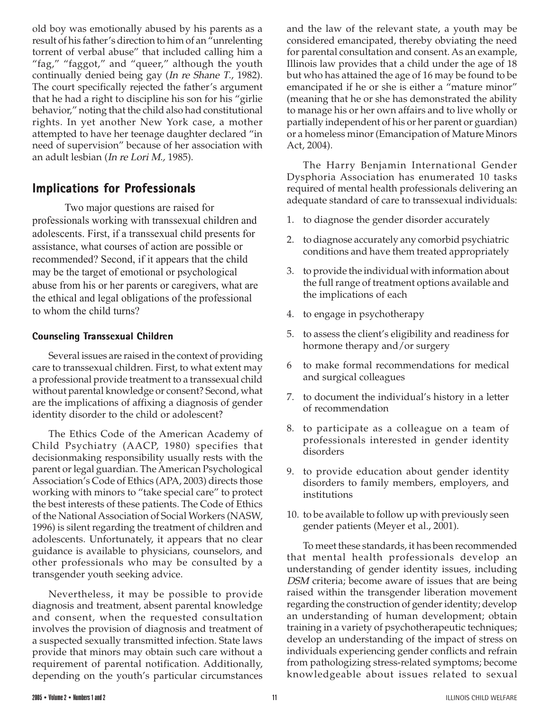old boy was emotionally abused by his parents as a result of his father's direction to him of an "unrelenting torrent of verbal abuse" that included calling him a "fag," "faggot," and "queer," although the youth continually denied being gay (In re Shane T., 1982). The court specifically rejected the father's argument that he had a right to discipline his son for his "girlie behavior," noting that the child also had constitutional rights. In yet another New York case, a mother attempted to have her teenage daughter declared "in need of supervision" because of her association with an adult lesbian (In re Lori M., 1985).

# **Implications for Professionals**

Two major questions are raised for professionals working with transsexual children and adolescents. First, if a transsexual child presents for assistance, what courses of action are possible or recommended? Second, if it appears that the child may be the target of emotional or psychological abuse from his or her parents or caregivers, what are the ethical and legal obligations of the professional to whom the child turns?

## **Counseling Transsexual Children**

Several issues are raised in the context of providing care to transsexual children. First, to what extent may a professional provide treatment to a transsexual child without parental knowledge or consent? Second, what are the implications of affixing a diagnosis of gender identity disorder to the child or adolescent?

The Ethics Code of the American Academy of Child Psychiatry (AACP, 1980) specifies that decisionmaking responsibility usually rests with the parent or legal guardian. The American Psychological Association's Code of Ethics (APA, 2003) directs those working with minors to "take special care" to protect the best interests of these patients. The Code of Ethics of the National Association of Social Workers (NASW, 1996) is silent regarding the treatment of children and adolescents. Unfortunately, it appears that no clear guidance is available to physicians, counselors, and other professionals who may be consulted by a transgender youth seeking advice.

Nevertheless, it may be possible to provide diagnosis and treatment, absent parental knowledge and consent, when the requested consultation involves the provision of diagnosis and treatment of a suspected sexually transmitted infection. State laws provide that minors may obtain such care without a requirement of parental notification. Additionally, depending on the youth's particular circumstances

and the law of the relevant state, a youth may be considered emancipated, thereby obviating the need for parental consultation and consent. As an example, Illinois law provides that a child under the age of 18 but who has attained the age of 16 may be found to be emancipated if he or she is either a "mature minor" (meaning that he or she has demonstrated the ability to manage his or her own affairs and to live wholly or partially independent of his or her parent or guardian) or a homeless minor (Emancipation of Mature Minors Act, 2004).

The Harry Benjamin International Gender Dysphoria Association has enumerated 10 tasks required of mental health professionals delivering an adequate standard of care to transsexual individuals:

- 1. to diagnose the gender disorder accurately
- 2. to diagnose accurately any comorbid psychiatric conditions and have them treated appropriately
- 3. to provide the individual with information about the full range of treatment options available and the implications of each
- 4. to engage in psychotherapy
- 5. to assess the client's eligibility and readiness for hormone therapy and/or surgery
- 6 to make formal recommendations for medical and surgical colleagues
- 7. to document the individual's history in a letter of recommendation
- 8. to participate as a colleague on a team of professionals interested in gender identity disorders
- 9. to provide education about gender identity disorders to family members, employers, and institutions
- 10. to be available to follow up with previously seen gender patients (Meyer et al., 2001).

To meet these standards, it has been recommended that mental health professionals develop an understanding of gender identity issues, including DSM criteria; become aware of issues that are being raised within the transgender liberation movement regarding the construction of gender identity; develop an understanding of human development; obtain training in a variety of psychotherapeutic techniques; develop an understanding of the impact of stress on individuals experiencing gender conflicts and refrain from pathologizing stress-related symptoms; become knowledgeable about issues related to sexual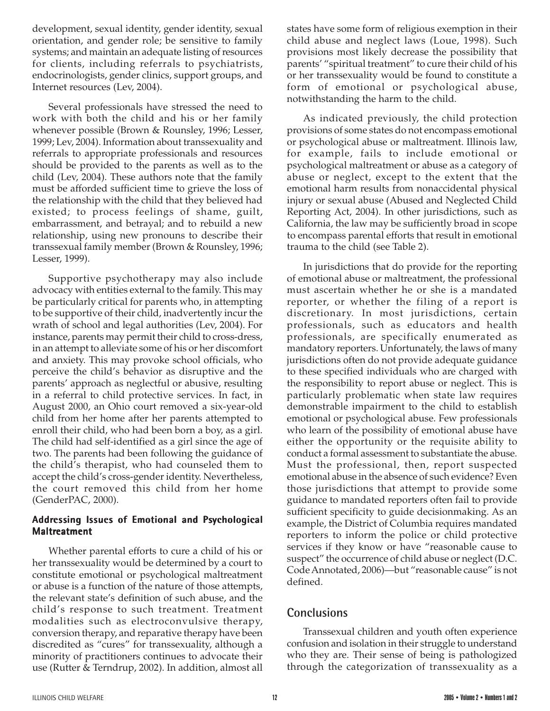development, sexual identity, gender identity, sexual orientation, and gender role; be sensitive to family systems; and maintain an adequate listing of resources for clients, including referrals to psychiatrists, endocrinologists, gender clinics, support groups, and Internet resources (Lev, 2004).

Several professionals have stressed the need to work with both the child and his or her family whenever possible (Brown & Rounsley, 1996; Lesser, 1999; Lev, 2004). Information about transsexuality and referrals to appropriate professionals and resources should be provided to the parents as well as to the child (Lev, 2004). These authors note that the family must be afforded sufficient time to grieve the loss of the relationship with the child that they believed had existed; to process feelings of shame, guilt, embarrassment, and betrayal; and to rebuild a new relationship, using new pronouns to describe their transsexual family member (Brown & Rounsley, 1996; Lesser, 1999).

Supportive psychotherapy may also include advocacy with entities external to the family. This may be particularly critical for parents who, in attempting to be supportive of their child, inadvertently incur the wrath of school and legal authorities (Lev, 2004). For instance, parents may permit their child to cross-dress, in an attempt to alleviate some of his or her discomfort and anxiety. This may provoke school officials, who perceive the child's behavior as disruptive and the parents' approach as neglectful or abusive, resulting in a referral to child protective services. In fact, in August 2000, an Ohio court removed a six-year-old child from her home after her parents attempted to enroll their child, who had been born a boy, as a girl. The child had self-identified as a girl since the age of two. The parents had been following the guidance of the child's therapist, who had counseled them to accept the child's cross-gender identity. Nevertheless, the court removed this child from her home (GenderPAC, 2000).

## **Addressing Issues of Emotional and Psychological ychological Maltreatment eatment**

Whether parental efforts to cure a child of his or her transsexuality would be determined by a court to constitute emotional or psychological maltreatment or abuse is a function of the nature of those attempts, the relevant state's definition of such abuse, and the child's response to such treatment. Treatment modalities such as electroconvulsive therapy, conversion therapy, and reparative therapy have been discredited as "cures" for transsexuality, although a minority of practitioners continues to advocate their use (Rutter & Terndrup, 2002). In addition, almost all

states have some form of religious exemption in their child abuse and neglect laws (Loue, 1998). Such provisions most likely decrease the possibility that parents' "spiritual treatment" to cure their child of his or her transsexuality would be found to constitute a form of emotional or psychological abuse, notwithstanding the harm to the child.

As indicated previously, the child protection provisions of some states do not encompass emotional or psychological abuse or maltreatment. Illinois law, for example, fails to include emotional or psychological maltreatment or abuse as a category of abuse or neglect, except to the extent that the emotional harm results from nonaccidental physical injury or sexual abuse (Abused and Neglected Child Reporting Act, 2004). In other jurisdictions, such as California, the law may be sufficiently broad in scope to encompass parental efforts that result in emotional trauma to the child (see Table 2).

In jurisdictions that do provide for the reporting of emotional abuse or maltreatment, the professional must ascertain whether he or she is a mandated reporter, or whether the filing of a report is discretionary. In most jurisdictions, certain professionals, such as educators and health professionals, are specifically enumerated as mandatory reporters. Unfortunately, the laws of many jurisdictions often do not provide adequate guidance to these specified individuals who are charged with the responsibility to report abuse or neglect. This is particularly problematic when state law requires demonstrable impairment to the child to establish emotional or psychological abuse. Few professionals who learn of the possibility of emotional abuse have either the opportunity or the requisite ability to conduct a formal assessment to substantiate the abuse. Must the professional, then, report suspected emotional abuse in the absence of such evidence? Even those jurisdictions that attempt to provide some guidance to mandated reporters often fail to provide sufficient specificity to guide decisionmaking. As an example, the District of Columbia requires mandated reporters to inform the police or child protective services if they know or have "reasonable cause to suspect" the occurrence of child abuse or neglect (D.C. Code Annotated, 2006)—but "reasonable cause" is not defined.

# **Conclusions**

Transsexual children and youth often experience confusion and isolation in their struggle to understand who they are. Their sense of being is pathologized through the categorization of transsexuality as a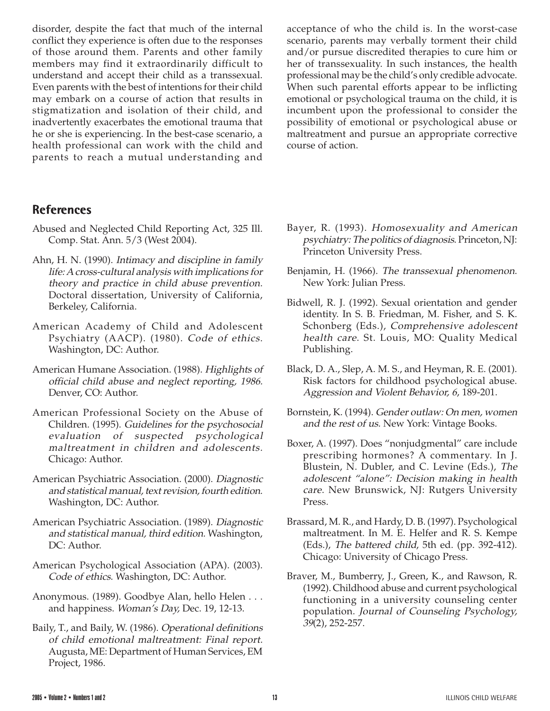disorder, despite the fact that much of the internal conflict they experience is often due to the responses of those around them. Parents and other family members may find it extraordinarily difficult to understand and accept their child as a transsexual. Even parents with the best of intentions for their child may embark on a course of action that results in stigmatization and isolation of their child, and inadvertently exacerbates the emotional trauma that he or she is experiencing. In the best-case scenario, a health professional can work with the child and parents to reach a mutual understanding and

acceptance of who the child is. In the worst-case scenario, parents may verbally torment their child and/or pursue discredited therapies to cure him or her of transsexuality. In such instances, the health professional may be the child's only credible advocate. When such parental efforts appear to be inflicting emotional or psychological trauma on the child, it is incumbent upon the professional to consider the possibility of emotional or psychological abuse or maltreatment and pursue an appropriate corrective course of action.

# **References**

- Abused and Neglected Child Reporting Act, 325 Ill. Comp. Stat. Ann. 5/3 (West 2004).
- Ahn, H. N. (1990). Intimacy and discipline in family life: A cross-cultural analysis with implications for theory and practice in child abuse prevention. Doctoral dissertation, University of California, Berkeley, California.
- American Academy of Child and Adolescent Psychiatry (AACP). (1980). Code of ethics. Washington, DC: Author.
- American Humane Association. (1988). Highlights of official child abuse and neglect reporting, 1986. Denver, CO: Author.
- American Professional Society on the Abuse of Children. (1995). Guidelines for the psychosocial evaluation of suspected psychological maltreatment in children and adolescents. Chicago: Author.
- American Psychiatric Association. (2000). Diagnostic and statistical manual, text revision, fourth edition. Washington, DC: Author.
- American Psychiatric Association. (1989). Diagnostic and statistical manual, third edition. Washington, DC: Author.
- American Psychological Association (APA). (2003). Code of ethics. Washington, DC: Author.
- Anonymous. (1989). Goodbye Alan, hello Helen . . . and happiness. Woman's Day, Dec. 19, 12-13.
- Baily, T., and Baily, W. (1986). Operational definitions of child emotional maltreatment: Final report. Augusta, ME: Department of Human Services, EM Project, 1986.
- Bayer, R. (1993). Homosexuality and American psychiatry: The politics of diagnosis. Princeton, NJ: Princeton University Press.
- Benjamin, H. (1966). The transsexual phenomenon. New York: Julian Press.
- Bidwell, R. J. (1992). Sexual orientation and gender identity. In S. B. Friedman, M. Fisher, and S. K. Schonberg (Eds.), Comprehensive adolescent health care. St. Louis, MO: Quality Medical Publishing.
- Black, D. A., Slep, A. M. S., and Heyman, R. E. (2001). Risk factors for childhood psychological abuse. Aggression and Violent Behavior, 6, 189-201.
- Bornstein, K. (1994). Gender outlaw: On men, women and the rest of us. New York: Vintage Books.
- Boxer, A. (1997). Does "nonjudgmental" care include prescribing hormones? A commentary. In J. Blustein, N. Dubler, and C. Levine (Eds.), The adolescent "alone": Decision making in health care. New Brunswick, NJ: Rutgers University Press.
- Brassard, M. R., and Hardy, D. B. (1997). Psychological maltreatment. In M. E. Helfer and R. S. Kempe (Eds.), The battered child, 5th ed. (pp. 392-412). Chicago: University of Chicago Press.
- Braver, M., Bumberry, J., Green, K., and Rawson, R. (1992). Childhood abuse and current psychological functioning in a university counseling center population. Journal of Counseling Psychology, 39(2), 252-257.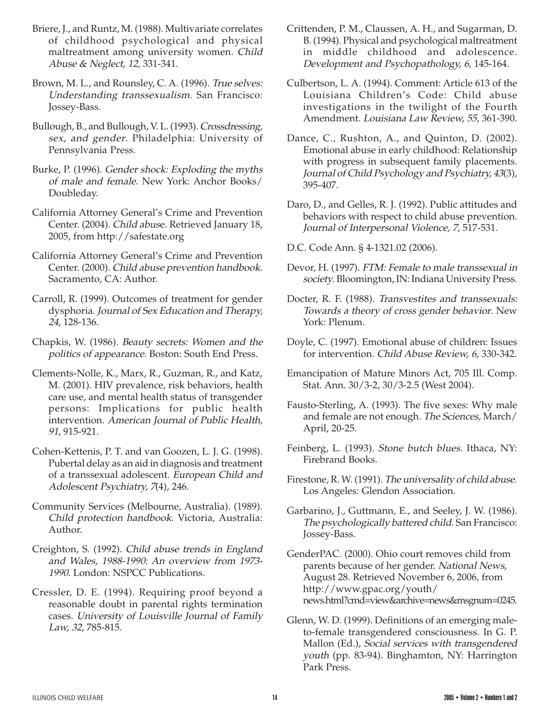- Briere, J., and Runtz, M. (1988). Multivariate correlates of childhood psychological and physical maltreatment among university women. Child Abuse & Neglect, 12, 331-341.
- Brown, M. L., and Rounsley, C. A. (1996). True selves: Understanding transsexualism. San Francisco: Jossey-Bass.
- Bullough, B., and Bullough, V. L. (1993). Crossdressing, sex, and gender. Philadelphia: University of Pennsylvania Press.
- Burke, P. (1996). Gender shock: Exploding the myths of male and female. New York: Anchor Books/ Doubleday.
- California Attorney General's Crime and Prevention Center. (2004). Child abuse. Retrieved January 18, 2005, from http://safestate.org
- California Attorney General's Crime and Prevention Center. (2000). Child abuse prevention handbook. Sacramento, CA: Author.
- Carroll, R. (1999). Outcomes of treatment for gender dysphoria. Journal of Sex Education and Therapy, <sup>24</sup>, 128-136.
- Chapkis, W. (1986). Beauty secrets: Women and the politics of appearance. Boston: South End Press.
- Clements-Nolle, K., Marx, R., Guzman, R., and Katz, M. (2001). HIV prevalence, risk behaviors, health care use, and mental health status of transgender persons: Implications for public health intervention. American Journal of Public Health, 91, 915-921.
- Cohen-Kettenis, P. T. and van Goozen, L. J. G. (1998). Pubertal delay as an aid in diagnosis and treatment of a transsexual adolescent. European Child and Adolescent Psychiatry, 7(4), 246.
- Community Services (Melbourne, Australia). (1989). Child protection handbook. Victoria, Australia: Author.
- Creighton, S. (1992). Child abuse trends in England and Wales, 1988-1990: An overview from 1973- 1990. London: NSPCC Publications.
- Cressler, D. E. (1994). Requiring proof beyond a reasonable doubt in parental rights termination cases. University of Louisville Journal of Family Law, 32, 785-815.
- Crittenden, P. M., Claussen, A. H., and Sugarman, D. B. (1994). Physical and psychological maltreatment in middle childhood and adolescence. Development and Psychopathology, 6, 145-164.
- Culbertson, L. A. (1994). Comment: Article 613 of the Louisiana Children's Code: Child abuse investigations in the twilight of the Fourth Amendment. Louisiana Law Review, 55, 361-390.
- Dance, C., Rushton, A., and Quinton, D. (2002). Emotional abuse in early childhood: Relationship with progress in subsequent family placements. Journal of Child Psychology and Psychiatry, 43(3), 395-407.
- Daro, D., and Gelles, R. J. (1992). Public attitudes and behaviors with respect to child abuse prevention. Journal of Interpersonal Violence, 7, 517-531.
- D.C. Code Ann. § 4-1321.02 (2006).
- Devor, H. (1997). FTM: Female to male transsexual in society. Bloomington, IN: Indiana University Press.
- Docter, R. F. (1988). Transvestites and transsexuals: Towards a theory of cross gender behavior. New York: Plenum.
- Doyle, C. (1997). Emotional abuse of children: Issues for intervention. Child Abuse Review, 6, 330-342.
- Emancipation of Mature Minors Act, 705 Ill. Comp. Stat. Ann. 30/3-2, 30/3-2.5 (West 2004).
- Fausto-Sterling, A. (1993). The five sexes: Why male and female are not enough. The Sciences, March/ April, 20-25.
- Feinberg, L. (1993). Stone butch blues. Ithaca, NY: Firebrand Books.
- Firestone, R. W. (1991). The universality of child abuse. Los Angeles: Glendon Association.
- Garbarino, J., Guttmann, E., and Seeley, J. W. (1986). The psychologically battered child. San Francisco: Jossey-Bass.
- GenderPAC. (2000). Ohio court removes child from parents because of her gender. National News, August 28. Retrieved November 6, 2006, from http://www.gpac.org/youth/ news.html?cmd=view&archive=news&msgnum=0245.
- Glenn, W. D. (1999). Definitions of an emerging maleto-female transgendered consciousness. In G. P. Mallon (Ed.), Social services with transgendered youth (pp. 83-94). Binghamton, NY: Harrington Park Press.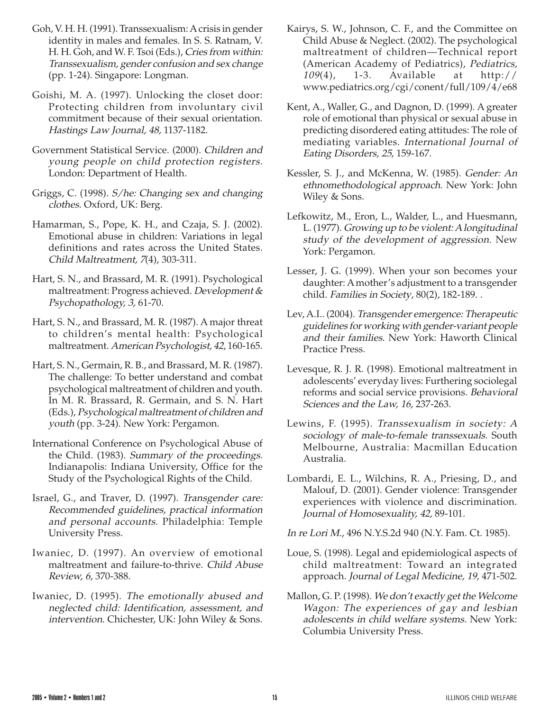- Goh, V. H. H. (1991). Transsexualism: A crisis in gender identity in males and females. In S. S. Ratnam, V. H. H. Goh, and W. F. Tsoi (Eds.), Cries from within: Transsexualism, gender confusion and sex change (pp. 1-24). Singapore: Longman.
- Goishi, M. A. (1997). Unlocking the closet door: Protecting children from involuntary civil commitment because of their sexual orientation. Hastings Law Journal, 48, 1137-1182.
- Government Statistical Service. (2000). Children and young people on child protection registers. London: Department of Health.
- Griggs, C. (1998). S/he: Changing sex and changing clothes. Oxford, UK: Berg.
- Hamarman, S., Pope, K. H., and Czaja, S. J. (2002). Emotional abuse in children: Variations in legal definitions and rates across the United States. Child Maltreatment, 7(4), 303-311.
- Hart, S. N., and Brassard, M. R. (1991). Psychological maltreatment: Progress achieved. Development & Psychopathology, 3, 61-70.
- Hart, S. N., and Brassard, M. R. (1987). A major threat to children's mental health: Psychological maltreatment. American Psychologist, 42, 160-165.
- Hart, S. N., Germain, R. B., and Brassard, M. R. (1987). The challenge: To better understand and combat psychological maltreatment of children and youth. In M. R. Brassard, R. Germain, and S. N. Hart (Eds.), Psychological maltreatment of children and youth (pp. 3-24). New York: Pergamon.
- International Conference on Psychological Abuse of the Child. (1983). Summary of the proceedings. Indianapolis: Indiana University, Office for the Study of the Psychological Rights of the Child.
- Israel, G., and Traver, D. (1997). Transgender care: Recommended guidelines, practical information and personal accounts. Philadelphia: Temple University Press.
- Iwaniec, D. (1997). An overview of emotional maltreatment and failure-to-thrive. Child Abuse Review, 6, 370-388.
- Iwaniec, D. (1995). The emotionally abused and neglected child: Identification, assessment, and intervention. Chichester, UK: John Wiley & Sons.
- Kairys, S. W., Johnson, C. F., and the Committee on Child Abuse & Neglect. (2002). The psychological maltreatment of children—Technical report (American Academy of Pediatrics), Pediatrics, 109(4), 1-3. Available at http:// www.pediatrics.org/cgi/conent/full/109/4/e68
- Kent, A., Waller, G., and Dagnon, D. (1999). A greater role of emotional than physical or sexual abuse in predicting disordered eating attitudes: The role of mediating variables. International Journal of Eating Disorders, 25, 159-167.
- Kessler, S. J., and McKenna, W. (1985). Gender: An ethnomethodological approach. New York: John Wiley & Sons.
- Lefkowitz, M., Eron, L., Walder, L., and Huesmann, L. (1977). Growing up to be violent: A longitudinal study of the development of aggression. New York: Pergamon.
- Lesser, J. G. (1999). When your son becomes your daughter: A mother's adjustment to a transgender child. Families in Society, 80(2), 182-189. .
- Lev, A.I.. (2004). Transgender emergence: Therapeutic guidelines for working with gender-variant people and their families. New York: Haworth Clinical Practice Press.
- Levesque, R. J. R. (1998). Emotional maltreatment in adolescents' everyday lives: Furthering sociolegal reforms and social service provisions. Behavioral Sciences and the Law, 16, 237-263.
- Lewins, F. (1995). Transsexualism in society: A sociology of male-to-female transsexuals. South Melbourne, Australia: Macmillan Education Australia.
- Lombardi, E. L., Wilchins, R. A., Priesing, D., and Malouf, D. (2001). Gender violence: Transgender experiences with violence and discrimination. Journal of Homosexuality, 42, 89-101.
- In re Lori M., 496 N.Y.S.2d 940 (N.Y. Fam. Ct. 1985).
- Loue, S. (1998). Legal and epidemiological aspects of child maltreatment: Toward an integrated approach. Journal of Legal Medicine, 19, 471-502.
- Mallon, G. P. (1998). We don't exactly get the Welcome Wagon: The experiences of gay and lesbian adolescents in child welfare systems. New York: Columbia University Press.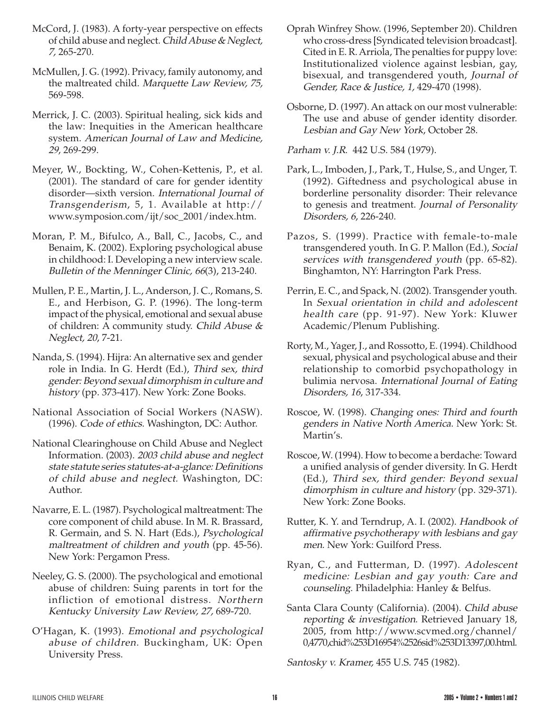- McCord, J. (1983). A forty-year perspective on effects of child abuse and neglect. Child Abuse & Neglect, 7, 265-270.
- McMullen, J. G. (1992). Privacy, family autonomy, and the maltreated child. Marquette Law Review, 75, 569-598.
- Merrick, J. C. (2003). Spiritual healing, sick kids and the law: Inequities in the American healthcare system. American Journal of Law and Medicine, 29, 269-299.
- Meyer, W., Bockting, W., Cohen-Kettenis, P., et al. (2001). The standard of care for gender identity disorder—sixth version. International Journal of Transgenderism, 5, 1. Available at http:// www.symposion.com/ijt/soc\_2001/index.htm.
- Moran, P. M., Bifulco, A., Ball, C., Jacobs, C., and Benaim, K. (2002). Exploring psychological abuse in childhood: I. Developing a new interview scale. Bulletin of the Menninger Clinic, 66(3), 213-240.
- Mullen, P. E., Martin, J. L., Anderson, J. C., Romans, S. E., and Herbison, G. P. (1996). The long-term impact of the physical, emotional and sexual abuse of children: A community study. Child Abuse & Neglect, 20, 7-21.
- Nanda, S. (1994). Hijra: An alternative sex and gender role in India. In G. Herdt (Ed.), Third sex, third gender: Beyond sexual dimorphism in culture and history (pp. 373-417). New York: Zone Books.
- National Association of Social Workers (NASW). (1996). Code of ethics. Washington, DC: Author.
- National Clearinghouse on Child Abuse and Neglect Information. (2003). 2003 child abuse and neglect state statute series statutes-at-a-glance: Definitions of child abuse and neglect. Washington, DC: Author.
- Navarre, E. L. (1987). Psychological maltreatment: The core component of child abuse. In M. R. Brassard, R. Germain, and S. N. Hart (Eds.), Psychological maltreatment of children and youth (pp. 45-56). New York: Pergamon Press.
- Neeley, G. S. (2000). The psychological and emotional abuse of children: Suing parents in tort for the infliction of emotional distress. Northern Kentucky University Law Review, 27, 689-720.
- O'Hagan, K. (1993). Emotional and psychological abuse of children. Buckingham, UK: Open University Press.
- Oprah Winfrey Show. (1996, September 20). Children who cross-dress [Syndicated television broadcast]. Cited in E. R. Arriola, The penalties for puppy love: Institutionalized violence against lesbian, gay, bisexual, and transgendered youth, Journal of Gender, Race & Justice, 1, 429-470 (1998).
- Osborne, D. (1997). An attack on our most vulnerable: The use and abuse of gender identity disorder. Lesbian and Gay New York, October 28.

Parham v. J.R. 442 U.S. 584 (1979).

- Park, L., Imboden, J., Park, T., Hulse, S., and Unger, T. (1992). Giftedness and psychological abuse in borderline personality disorder: Their relevance to genesis and treatment. Journal of Personality Disorders, 6, 226-240.
- Pazos, S. (1999). Practice with female-to-male transgendered youth. In G. P. Mallon (Ed.), Social services with transgendered youth (pp. 65-82). Binghamton, NY: Harrington Park Press.
- Perrin, E. C., and Spack, N. (2002). Transgender youth. In Sexual orientation in child and adolescent health care (pp. 91-97). New York: Kluwer Academic/Plenum Publishing.
- Rorty, M., Yager, J., and Rossotto, E. (1994). Childhood sexual, physical and psychological abuse and their relationship to comorbid psychopathology in bulimia nervosa. International Journal of Eating Disorders, 16, 317-334.
- Roscoe, W. (1998). Changing ones: Third and fourth genders in Native North America. New York: St. Martin's.
- Roscoe, W. (1994). How to become a berdache: Toward a unified analysis of gender diversity. In G. Herdt (Ed.), Third sex, third gender: Beyond sexual dimorphism in culture and history (pp. 329-371). New York: Zone Books.
- Rutter, K. Y. and Terndrup, A. I. (2002). Handbook of affirmative psychotherapy with lesbians and gay men. New York: Guilford Press.
- Ryan, C., and Futterman, D. (1997). Adolescent medicine: Lesbian and gay youth: Care and counseling. Philadelphia: Hanley & Belfus.
- Santa Clara County (California). (2004). Child abuse reporting & investigation. Retrieved January 18, 2005, from http://www.scvmed.org/channel/ 0,4770,chid%253D16954%2526sid%253D13397,00.html.

Santosky v. Kramer, 455 U.S. 745 (1982).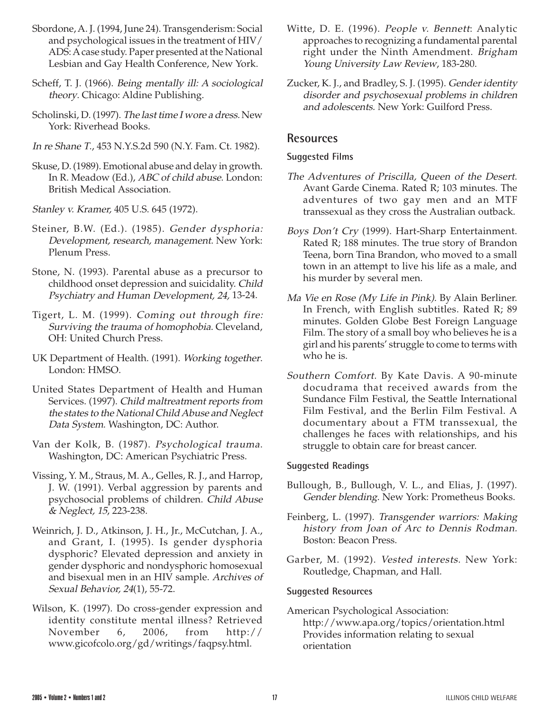- Sbordone, A. J. (1994, June 24). Transgenderism: Social and psychological issues in the treatment of HIV/ ADS: A case study. Paper presented at the National Lesbian and Gay Health Conference, New York.
- Scheff, T. J. (1966). Being mentally ill: A sociological theory. Chicago: Aldine Publishing.
- Scholinski, D. (1997). The last time I wore a dress. New York: Riverhead Books.
- In re Shane T., 453 N.Y.S.2d 590 (N.Y. Fam. Ct. 1982).
- Skuse, D. (1989). Emotional abuse and delay in growth. In R. Meadow (Ed.), ABC of child abuse. London: British Medical Association.
- Stanley v. Kramer, 405 U.S. 645 (1972).
- Steiner, B.W. (Ed.). (1985). Gender dysphoria: Development, research, management. New York: Plenum Press.
- Stone, N. (1993). Parental abuse as a precursor to childhood onset depression and suicidality. Child Psychiatry and Human Development, 24, 13-24.
- Tigert, L. M. (1999). Coming out through fire: Surviving the trauma of homophobia. Cleveland, OH: United Church Press.
- UK Department of Health. (1991). Working together. London: HMSO.
- United States Department of Health and Human Services. (1997). Child maltreatment reports from the states to the National Child Abuse and Neglect Data System. Washington, DC: Author.
- Van der Kolk, B. (1987). Psychological trauma. Washington, DC: American Psychiatric Press.
- Vissing, Y. M., Straus, M. A., Gelles, R. J., and Harrop, J. W. (1991). Verbal aggression by parents and psychosocial problems of children. Child Abuse & Neglect, 15, 223-238.
- Weinrich, J. D., Atkinson, J. H., Jr., McCutchan, J. A., and Grant, I. (1995). Is gender dysphoria dysphoric? Elevated depression and anxiety in gender dysphoric and nondysphoric homosexual and bisexual men in an HIV sample. Archives of Sexual Behavior, 24(1), 55-72.
- Wilson, K. (1997). Do cross-gender expression and identity constitute mental illness? Retrieved November 6, 2006, from http:// www.gicofcolo.org/gd/writings/faqpsy.html.
- Witte, D. E. (1996). People v. Bennett: Analytic approaches to recognizing a fundamental parental right under the Ninth Amendment. Brigham Young University Law Review, 183-280.
- Zucker, K. J., and Bradley, S. J. (1995). Gender identity disorder and psychosexual problems in children and adolescents. New York: Guilford Press.

## **Resources**

#### **Suggested Films**

- The Adventures of Priscilla, Queen of the Desert. Avant Garde Cinema. Rated R; 103 minutes. The adventures of two gay men and an MTF transsexual as they cross the Australian outback.
- Boys Don't Cry (1999). Hart-Sharp Entertainment. Rated R; 188 minutes. The true story of Brandon Teena, born Tina Brandon, who moved to a small town in an attempt to live his life as a male, and his murder by several men.
- Ma Vie en Rose (My Life in Pink). By Alain Berliner. In French, with English subtitles. Rated R; 89 minutes. Golden Globe Best Foreign Language Film. The story of a small boy who believes he is a girl and his parents' struggle to come to terms with who he is.
- Southern Comfort. By Kate Davis. A 90-minute docudrama that received awards from the Sundance Film Festival, the Seattle International Film Festival, and the Berlin Film Festival. A documentary about a FTM transsexual, the challenges he faces with relationships, and his struggle to obtain care for breast cancer.

#### **Suggested Readings**

- Bullough, B., Bullough, V. L., and Elias, J. (1997). Gender blending. New York: Prometheus Books.
- Feinberg, L. (1997). Transgender warriors: Making history from Joan of Arc to Dennis Rodman. Boston: Beacon Press.
- Garber, M. (1992). Vested interests. New York: Routledge, Chapman, and Hall.

#### **Suggested Resources**

American Psychological Association: http://www.apa.org/topics/orientation.html Provides information relating to sexual orientation